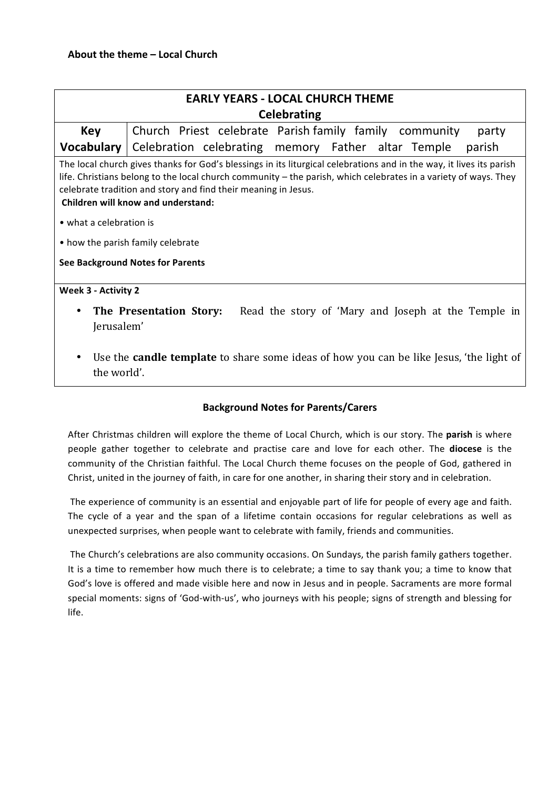| <b>EARLY YEARS - LOCAL CHURCH THEME</b>                                                                                                                                                                                                                                                                                                                                                                         |                                                                 |
|-----------------------------------------------------------------------------------------------------------------------------------------------------------------------------------------------------------------------------------------------------------------------------------------------------------------------------------------------------------------------------------------------------------------|-----------------------------------------------------------------|
|                                                                                                                                                                                                                                                                                                                                                                                                                 |                                                                 |
| <b>Celebrating</b>                                                                                                                                                                                                                                                                                                                                                                                              |                                                                 |
| <b>Key</b>                                                                                                                                                                                                                                                                                                                                                                                                      | Church Priest celebrate Parish family family community<br>party |
| <b>Vocabulary</b>                                                                                                                                                                                                                                                                                                                                                                                               | Celebration celebrating memory Father altar Temple<br>parish    |
| The local church gives thanks for God's blessings in its liturgical celebrations and in the way, it lives its parish<br>life. Christians belong to the local church community – the parish, which celebrates in a variety of ways. They<br>celebrate tradition and story and find their meaning in Jesus.<br>Children will know and understand:<br>• what a celebration is<br>• how the parish family celebrate |                                                                 |
| <b>See Background Notes for Parents</b>                                                                                                                                                                                                                                                                                                                                                                         |                                                                 |
| Week 3 - Activity 2                                                                                                                                                                                                                                                                                                                                                                                             |                                                                 |
| Read the story of 'Mary and Joseph at the Temple in<br>The Presentation Story:<br>$\bullet$<br>Jerusalem'                                                                                                                                                                                                                                                                                                       |                                                                 |

Use the **candle template** to share some ideas of how you can be like Jesus, 'the light of the world'.

## **Background Notes for Parents/Carers**

After Christmas children will explore the theme of Local Church, which is our story. The parish is where people gather together to celebrate and practise care and love for each other. The **diocese** is the community of the Christian faithful. The Local Church theme focuses on the people of God, gathered in Christ, united in the journey of faith, in care for one another, in sharing their story and in celebration.

The experience of community is an essential and enjoyable part of life for people of every age and faith. The cycle of a year and the span of a lifetime contain occasions for regular celebrations as well as unexpected surprises, when people want to celebrate with family, friends and communities.

The Church's celebrations are also community occasions. On Sundays, the parish family gathers together. It is a time to remember how much there is to celebrate; a time to say thank you; a time to know that God's love is offered and made visible here and now in Jesus and in people. Sacraments are more formal special moments: signs of 'God-with-us', who journeys with his people; signs of strength and blessing for life.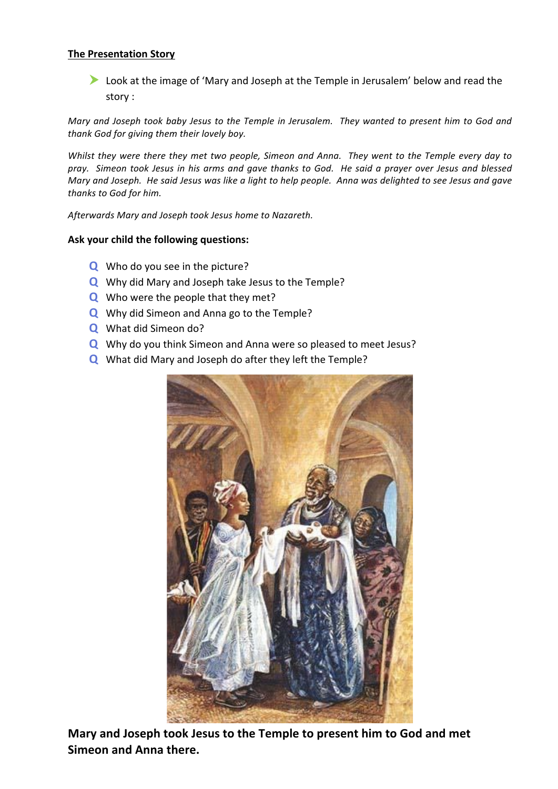## **The Presentation Story**

 $\blacktriangleright$  Look at the image of 'Mary and Joseph at the Temple in Jerusalem' below and read the story :

*Mary* and Joseph took baby Jesus to the Temple in Jerusalem. They wanted to present him to God and thank God for giving them their lovely boy.

*Whilst they were there they met two people, Simeon and Anna. They went to the Temple every day to pray. Simeon took Jesus in his arms and gave thanks to God. He said a prayer over Jesus and blessed Mary* and Joseph. He said Jesus was like a light to help people. Anna was delighted to see Jesus and gave *thanks to God for him.*

*Afterwards Mary and Joseph took Jesus home to Nazareth.*

## Ask your child the following questions:

- **Q** Who do you see in the picture?
- **Q** Why did Mary and Joseph take Jesus to the Temple?
- **Q** Who were the people that they met?
- **Q** Why did Simeon and Anna go to the Temple?
- **Q** What did Simeon do?
- **Q** Why do you think Simeon and Anna were so pleased to meet Jesus?
- **Q** What did Mary and Joseph do after they left the Temple?



Mary and Joseph took Jesus to the Temple to present him to God and met Simeon and Anna there.